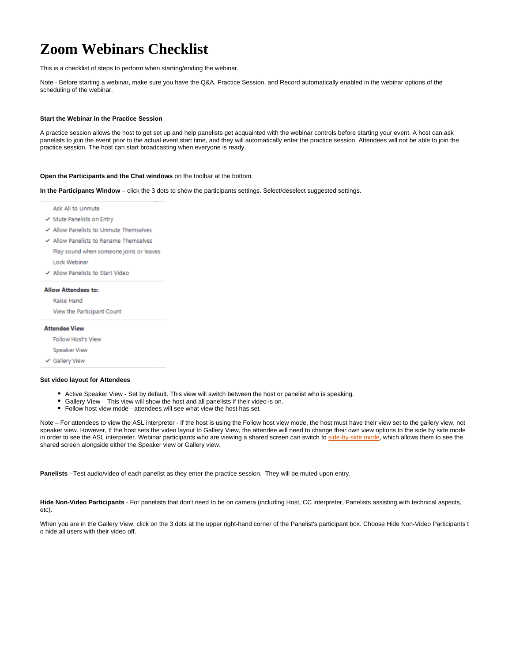# **Zoom Webinars Checklist**

This is a checklist of steps to perform when starting/ending the webinar.

Note - Before starting a webinar, make sure you have the Q&A, Practice Session, and Record automatically enabled in the webinar options of the scheduling of the webinar.

# **Start the Webinar in the Practice Session**

A practice session allows the host to get set up and help panelists get acquainted with the webinar controls before starting your event. A host can ask panelists to join the event prior to the actual event start time, and they will automatically enter the practice session. Attendees will not be able to join the practice session. The host can start broadcasting when everyone is ready.

# **Open the Participants and the Chat windows** on the toolbar at the bottom.

**In the Participants Window** – click the 3 dots to show the participants settings. Select/deselect suggested settings.

Ask All to Unmute

- $\checkmark$  Mute Panelists on Entry
- √ Allow Panelists to Unmute Themselves
- √ Allow Panelists to Rename Themselves Play sound when someone joins or leaves

Lock Webinar

√ Allow Panelists to Start Video

# **Allow Attendees to:**

Raise Hand

View the Participant Count

#### **Attendee View**

Follow Host's View

Speaker View

← Gallery View

#### **Set video layout for Attendees**

- Active Speaker View Set by default. This view will switch between the host or panelist who is speaking.
- Gallery View This view will show the host and all panelists if their video is on.
- Follow host view mode attendees will see what view the host has set.

Note – For attendees to view the ASL interpreter - If the host is using the Follow host view mode, the host must have their view set to the gallery view, not speaker view. However, If the host sets the video layout to Gallery View, the attendee will need to change their own view options to the side by side mode in order to see the ASL interpreter. Webinar participants who are viewing a shared screen can switch to [side-by-side mode](https://support.zoom.us/hc/en-us/articles/115004802843-Side-by-side-mode-for-screen-sharing#h_9f5512dd-2840-49f9-846b-a6a133a5c54e), which allows them to see the shared screen alongside either the Speaker view or Gallery view.

**Panelists** - Test audio/video of each panelist as they enter the practice session. They will be muted upon entry.

**Hide Non-Video Participants** - For panelists that don't need to be on camera (including Host, CC interpreter, Panelists assisting with technical aspects, etc).

When you are in the Gallery View, click on the 3 dots at the upper right-hand corner of the Panelist's participant box. Choose Hide Non-Video Participants t o hide all users with their video off.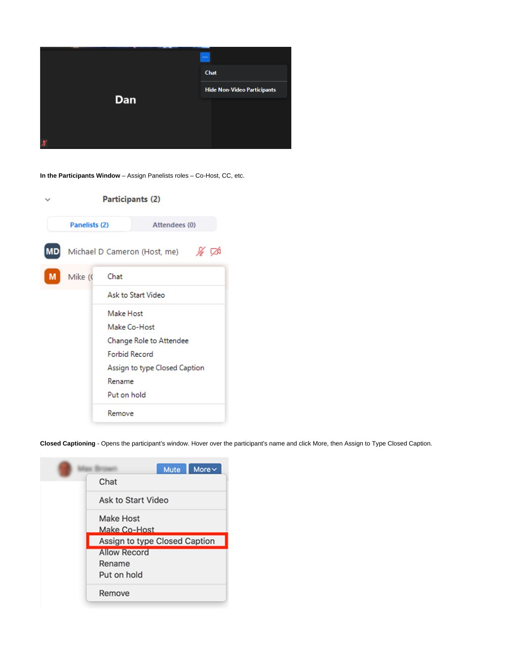

**In the Participants Window** – Assign Panelists roles – Co-Host, CC, etc.

|   | Participants (2)     |             |                               |    |  |
|---|----------------------|-------------|-------------------------------|----|--|
|   | Panelists (2)        |             | Attendees (0)                 |    |  |
|   |                      |             | Michael D Cameron (Host, me)  | ∦∕ |  |
| M | Mike (C<br>Chat      |             |                               |    |  |
|   |                      |             | Ask to Start Video            |    |  |
|   |                      | Make Host   |                               |    |  |
|   |                      |             | Make Co-Host                  |    |  |
|   |                      |             | Change Role to Attendee       |    |  |
|   | <b>Forbid Record</b> |             |                               |    |  |
|   |                      |             | Assign to type Closed Caption |    |  |
|   |                      | Rename      |                               |    |  |
|   |                      | Put on hold |                               |    |  |
|   |                      | Remove      |                               |    |  |

**Closed Captioning** - Opens the participant's window. Hover over the participant's name and click More, then Assign to Type Closed Caption.

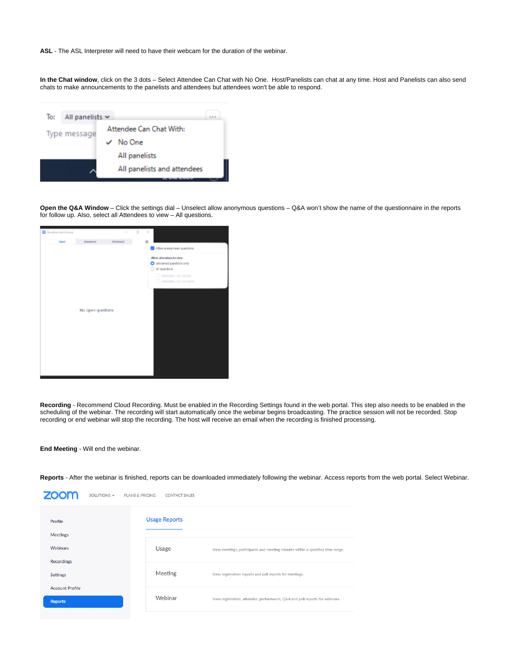**ASL** - The ASL Interpreter will need to have their webcam for the duration of the webinar.

In the Chat window, click on the 3 dots – Select Attendee Can Chat with No One. Host/Panelists can chat at any time. Host and Panelists can also send chats to make announcements to the panelists and attendees but attendees won't be able to respond.

| To: | All panelists $\sim$ |                             |  |
|-----|----------------------|-----------------------------|--|
|     | Type message         | Attendee Can Chat With:     |  |
|     |                      | No One                      |  |
|     |                      | All panelists               |  |
|     |                      | All panelists and attendees |  |
|     |                      |                             |  |

**Open the Q&A Window** – Click the settings dial – Unselect allow anonymous questions – Q&A won't show the name of the questionnaire in the reports for follow up. Also, select all Attendees to view – All questions.



**Recording** - Recommend Cloud Recording. Must be enabled in the Recording Settings found in the web portal. This step also needs to be enabled in the scheduling of the webinar. The recording will start automatically once the webinar begins broadcasting. The practice session will not be recorded. Stop recording or end webinar will stop the recording. The host will receive an email when the recording is finished processing.

# **End Meeting** - Will end the webinar.

 $700<sub>m</sub>$ 

**Reports** - After the webinar is finished, reports can be downloaded immediately following the webinar. Access reports from the web portal. Select Webinar.

| zoom<br>SOLUTIONS $\star$                | <b>PLANS &amp; PRICING</b><br><b>CONTACT SALES</b> |                                                                                |
|------------------------------------------|----------------------------------------------------|--------------------------------------------------------------------------------|
| Profile<br>Meetings                      | <b>Usage Reports</b>                               |                                                                                |
| <b>Webinars</b><br><b>Recordings</b>     | Usage                                              | View meetings, participants and meeting minutes within a specified time range. |
| <b>Settings</b>                          | Meeting                                            | View registration reports and poll reports for meetings.                       |
| <b>Account Profile</b><br><b>Reports</b> | Webinar                                            | View registration, attendee, performance, Q&A and poll reports for webinars.   |